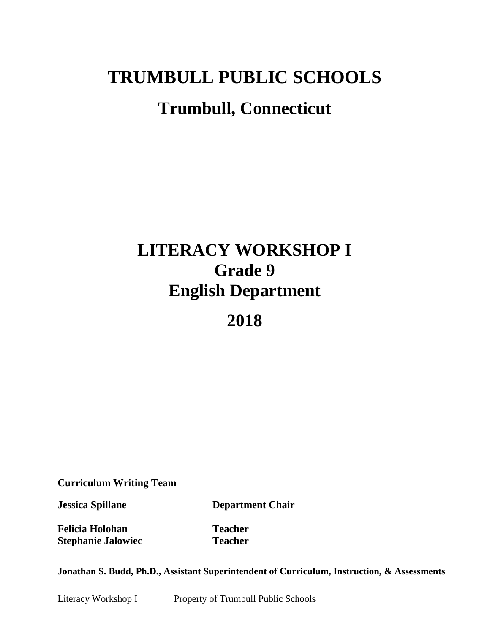# **TRUMBULL PUBLIC SCHOOLS Trumbull, Connecticut**

## **LITERACY WORKSHOP I Grade 9 English Department**

## **2018**

**Curriculum Writing Team**

**Jessica Spillane Department Chair**

**Felicia Holohan Teacher Stephanie Jalowiec Teacher**

**Jonathan S. Budd, Ph.D., Assistant Superintendent of Curriculum, Instruction, & Assessments**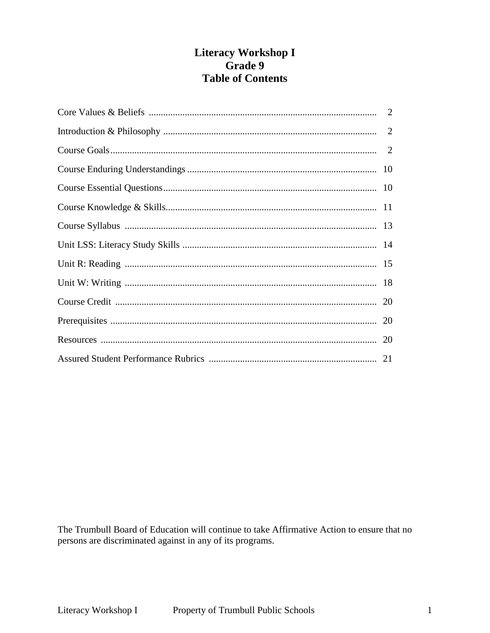## Literacy Workshop I Grade 9 **Table of Contents**

The Trumbull Board of Education will continue to take Affirmative Action to ensure that no persons are discriminated against in any of its programs.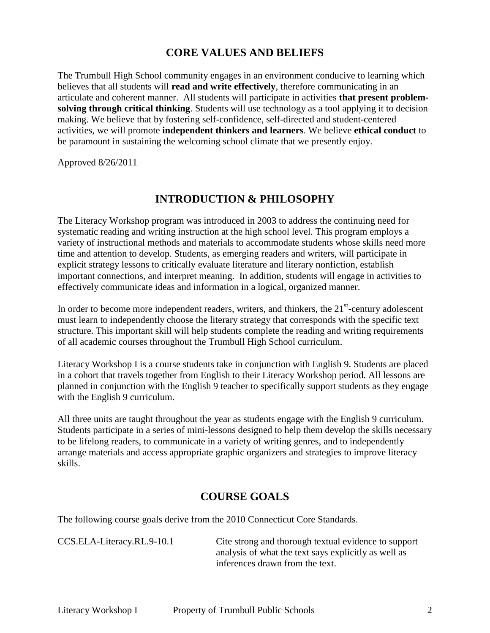## **CORE VALUES AND BELIEFS**

The Trumbull High School community engages in an environment conducive to learning which believes that all students will **read and write effectively**, therefore communicating in an articulate and coherent manner. All students will participate in activities **that present problemsolving through critical thinking**. Students will use technology as a tool applying it to decision making. We believe that by fostering self-confidence, self-directed and student-centered activities, we will promote **independent thinkers and learners**. We believe **ethical conduct** to be paramount in sustaining the welcoming school climate that we presently enjoy.

Approved 8/26/2011

## **INTRODUCTION & PHILOSOPHY**

The Literacy Workshop program was introduced in 2003 to address the continuing need for systematic reading and writing instruction at the high school level. This program employs a variety of instructional methods and materials to accommodate students whose skills need more time and attention to develop. Students, as emerging readers and writers, will participate in explicit strategy lessons to critically evaluate literature and literary nonfiction, establish important connections, and interpret meaning. In addition, students will engage in activities to effectively communicate ideas and information in a logical, organized manner.

In order to become more independent readers, writers, and thinkers, the  $21<sup>st</sup>$ -century adolescent must learn to independently choose the literary strategy that corresponds with the specific text structure. This important skill will help students complete the reading and writing requirements of all academic courses throughout the Trumbull High School curriculum.

Literacy Workshop I is a course students take in conjunction with English 9. Students are placed in a cohort that travels together from English to their Literacy Workshop period. All lessons are planned in conjunction with the English 9 teacher to specifically support students as they engage with the English 9 curriculum.

All three units are taught throughout the year as students engage with the English 9 curriculum. Students participate in a series of mini-lessons designed to help them develop the skills necessary to be lifelong readers, to communicate in a variety of writing genres, and to independently arrange materials and access appropriate graphic organizers and strategies to improve literacy skills.

## **COURSE GOALS**

The following course goals derive from the 2010 Connecticut Core Standards.

CCS.ELA-Literacy.RL.9-10.1 Cite strong and thorough textual evidence to support analysis of what the text says explicitly as well as inferences drawn from the text.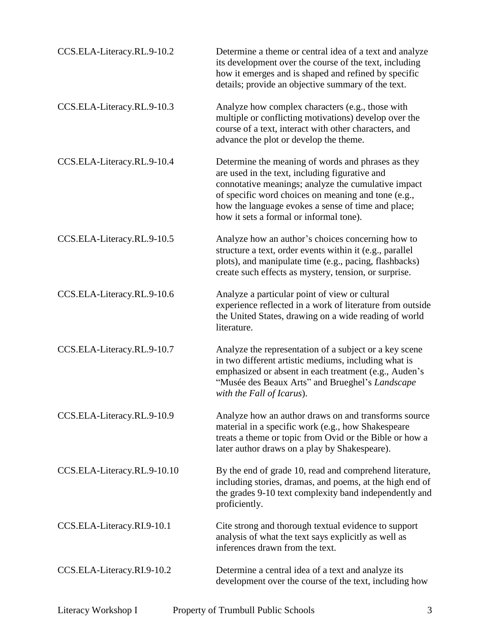| CCS.ELA-Literacy.RL.9-10.2  | Determine a theme or central idea of a text and analyze<br>its development over the course of the text, including<br>how it emerges and is shaped and refined by specific<br>details; provide an objective summary of the text.                                                                                     |
|-----------------------------|---------------------------------------------------------------------------------------------------------------------------------------------------------------------------------------------------------------------------------------------------------------------------------------------------------------------|
| CCS.ELA-Literacy.RL.9-10.3  | Analyze how complex characters (e.g., those with<br>multiple or conflicting motivations) develop over the<br>course of a text, interact with other characters, and<br>advance the plot or develop the theme.                                                                                                        |
| CCS.ELA-Literacy.RL.9-10.4  | Determine the meaning of words and phrases as they<br>are used in the text, including figurative and<br>connotative meanings; analyze the cumulative impact<br>of specific word choices on meaning and tone (e.g.,<br>how the language evokes a sense of time and place;<br>how it sets a formal or informal tone). |
| CCS.ELA-Literacy.RL.9-10.5  | Analyze how an author's choices concerning how to<br>structure a text, order events within it (e.g., parallel<br>plots), and manipulate time (e.g., pacing, flashbacks)<br>create such effects as mystery, tension, or surprise.                                                                                    |
| CCS.ELA-Literacy.RL.9-10.6  | Analyze a particular point of view or cultural<br>experience reflected in a work of literature from outside<br>the United States, drawing on a wide reading of world<br>literature.                                                                                                                                 |
| CCS.ELA-Literacy.RL.9-10.7  | Analyze the representation of a subject or a key scene<br>in two different artistic mediums, including what is<br>emphasized or absent in each treatment (e.g., Auden's<br>"Musée des Beaux Arts" and Brueghel's Landscape<br>with the Fall of Icarus).                                                             |
| CCS.ELA-Literacy.RL.9-10.9  | Analyze how an author draws on and transforms source<br>material in a specific work (e.g., how Shakespeare<br>treats a theme or topic from Ovid or the Bible or how a<br>later author draws on a play by Shakespeare).                                                                                              |
| CCS.ELA-Literacy.RL.9-10.10 | By the end of grade 10, read and comprehend literature,<br>including stories, dramas, and poems, at the high end of<br>the grades 9-10 text complexity band independently and<br>proficiently.                                                                                                                      |
| CCS.ELA-Literacy.RI.9-10.1  | Cite strong and thorough textual evidence to support<br>analysis of what the text says explicitly as well as<br>inferences drawn from the text.                                                                                                                                                                     |
| CCS.ELA-Literacy.RI.9-10.2  | Determine a central idea of a text and analyze its<br>development over the course of the text, including how                                                                                                                                                                                                        |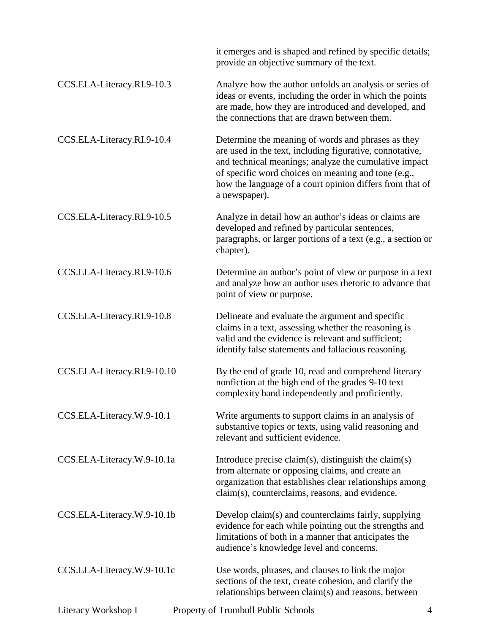|                             | it emerges and is shaped and refined by specific details;<br>provide an objective summary of the text.                                                                                                                                                                                                      |
|-----------------------------|-------------------------------------------------------------------------------------------------------------------------------------------------------------------------------------------------------------------------------------------------------------------------------------------------------------|
| CCS.ELA-Literacy.RI.9-10.3  | Analyze how the author unfolds an analysis or series of<br>ideas or events, including the order in which the points<br>are made, how they are introduced and developed, and<br>the connections that are drawn between them.                                                                                 |
| CCS.ELA-Literacy.RI.9-10.4  | Determine the meaning of words and phrases as they<br>are used in the text, including figurative, connotative,<br>and technical meanings; analyze the cumulative impact<br>of specific word choices on meaning and tone (e.g.,<br>how the language of a court opinion differs from that of<br>a newspaper). |
| CCS.ELA-Literacy.RI.9-10.5  | Analyze in detail how an author's ideas or claims are<br>developed and refined by particular sentences,<br>paragraphs, or larger portions of a text (e.g., a section or<br>chapter).                                                                                                                        |
| CCS.ELA-Literacy.RI.9-10.6  | Determine an author's point of view or purpose in a text<br>and analyze how an author uses rhetoric to advance that<br>point of view or purpose.                                                                                                                                                            |
| CCS.ELA-Literacy.RI.9-10.8  | Delineate and evaluate the argument and specific<br>claims in a text, assessing whether the reasoning is<br>valid and the evidence is relevant and sufficient;<br>identify false statements and fallacious reasoning.                                                                                       |
| CCS.ELA-Literacy.RI.9-10.10 | By the end of grade 10, read and comprehend literary<br>nonfiction at the high end of the grades 9-10 text<br>complexity band independently and proficiently.                                                                                                                                               |
| CCS.ELA-Literacy.W.9-10.1   | Write arguments to support claims in an analysis of<br>substantive topics or texts, using valid reasoning and<br>relevant and sufficient evidence.                                                                                                                                                          |
| CCS.ELA-Literacy.W.9-10.1a  | Introduce precise claim(s), distinguish the claim(s)<br>from alternate or opposing claims, and create an<br>organization that establishes clear relationships among<br>claim(s), counterclaims, reasons, and evidence.                                                                                      |
| CCS.ELA-Literacy.W.9-10.1b  | Develop claim(s) and counterclaims fairly, supplying<br>evidence for each while pointing out the strengths and<br>limitations of both in a manner that anticipates the<br>audience's knowledge level and concerns.                                                                                          |
| CCS.ELA-Literacy.W.9-10.1c  | Use words, phrases, and clauses to link the major<br>sections of the text, create cohesion, and clarify the<br>relationships between claim(s) and reasons, between                                                                                                                                          |
| Literacy Workshop I         | Property of Trumbull Public Schools<br>4                                                                                                                                                                                                                                                                    |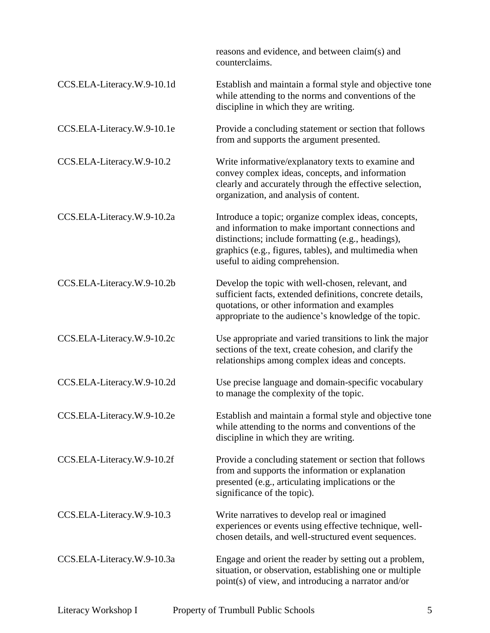|                            | reasons and evidence, and between claim(s) and<br>counterclaims.                                                                                                                                                                                            |
|----------------------------|-------------------------------------------------------------------------------------------------------------------------------------------------------------------------------------------------------------------------------------------------------------|
| CCS.ELA-Literacy.W.9-10.1d | Establish and maintain a formal style and objective tone<br>while attending to the norms and conventions of the<br>discipline in which they are writing.                                                                                                    |
| CCS.ELA-Literacy.W.9-10.1e | Provide a concluding statement or section that follows<br>from and supports the argument presented.                                                                                                                                                         |
| CCS.ELA-Literacy.W.9-10.2  | Write informative/explanatory texts to examine and<br>convey complex ideas, concepts, and information<br>clearly and accurately through the effective selection,<br>organization, and analysis of content.                                                  |
| CCS.ELA-Literacy.W.9-10.2a | Introduce a topic; organize complex ideas, concepts,<br>and information to make important connections and<br>distinctions; include formatting (e.g., headings),<br>graphics (e.g., figures, tables), and multimedia when<br>useful to aiding comprehension. |
| CCS.ELA-Literacy.W.9-10.2b | Develop the topic with well-chosen, relevant, and<br>sufficient facts, extended definitions, concrete details,<br>quotations, or other information and examples<br>appropriate to the audience's knowledge of the topic.                                    |
| CCS.ELA-Literacy.W.9-10.2c | Use appropriate and varied transitions to link the major<br>sections of the text, create cohesion, and clarify the<br>relationships among complex ideas and concepts.                                                                                       |
| CCS.ELA-Literacy.W.9-10.2d | Use precise language and domain-specific vocabulary<br>to manage the complexity of the topic.                                                                                                                                                               |
| CCS.ELA-Literacy.W.9-10.2e | Establish and maintain a formal style and objective tone<br>while attending to the norms and conventions of the<br>discipline in which they are writing.                                                                                                    |
| CCS.ELA-Literacy.W.9-10.2f | Provide a concluding statement or section that follows<br>from and supports the information or explanation<br>presented (e.g., articulating implications or the<br>significance of the topic).                                                              |
| CCS.ELA-Literacy.W.9-10.3  | Write narratives to develop real or imagined<br>experiences or events using effective technique, well-<br>chosen details, and well-structured event sequences.                                                                                              |
| CCS.ELA-Literacy.W.9-10.3a | Engage and orient the reader by setting out a problem,<br>situation, or observation, establishing one or multiple<br>point(s) of view, and introducing a narrator and/or                                                                                    |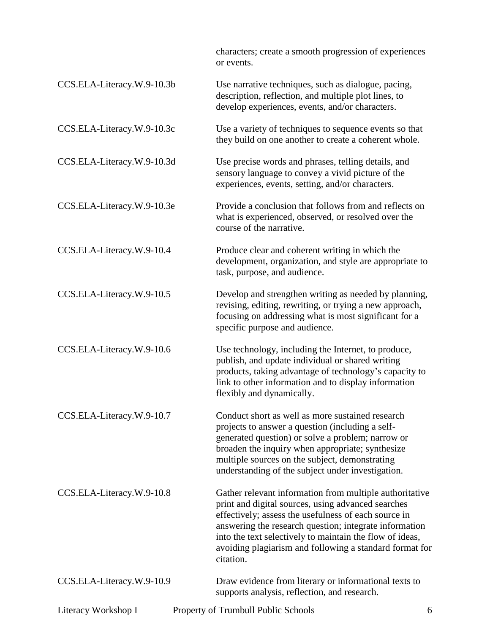characters; create a smooth progression of experiences or events.

| CCS.ELA-Literacy.W.9-10.3b | Use narrative techniques, such as dialogue, pacing,<br>description, reflection, and multiple plot lines, to<br>develop experiences, events, and/or characters.                                                                                                                                                                                                      |
|----------------------------|---------------------------------------------------------------------------------------------------------------------------------------------------------------------------------------------------------------------------------------------------------------------------------------------------------------------------------------------------------------------|
| CCS.ELA-Literacy.W.9-10.3c | Use a variety of techniques to sequence events so that<br>they build on one another to create a coherent whole.                                                                                                                                                                                                                                                     |
| CCS.ELA-Literacy.W.9-10.3d | Use precise words and phrases, telling details, and<br>sensory language to convey a vivid picture of the<br>experiences, events, setting, and/or characters.                                                                                                                                                                                                        |
| CCS.ELA-Literacy.W.9-10.3e | Provide a conclusion that follows from and reflects on<br>what is experienced, observed, or resolved over the<br>course of the narrative.                                                                                                                                                                                                                           |
| CCS.ELA-Literacy.W.9-10.4  | Produce clear and coherent writing in which the<br>development, organization, and style are appropriate to<br>task, purpose, and audience.                                                                                                                                                                                                                          |
| CCS.ELA-Literacy.W.9-10.5  | Develop and strengthen writing as needed by planning,<br>revising, editing, rewriting, or trying a new approach,<br>focusing on addressing what is most significant for a<br>specific purpose and audience.                                                                                                                                                         |
| CCS.ELA-Literacy.W.9-10.6  | Use technology, including the Internet, to produce,<br>publish, and update individual or shared writing<br>products, taking advantage of technology's capacity to<br>link to other information and to display information<br>flexibly and dynamically.                                                                                                              |
| CCS.ELA-Literacy.W.9-10.7  | Conduct short as well as more sustained research<br>projects to answer a question (including a self-<br>generated question) or solve a problem; narrow or<br>broaden the inquiry when appropriate; synthesize<br>multiple sources on the subject, demonstrating<br>understanding of the subject under investigation.                                                |
| CCS.ELA-Literacy.W.9-10.8  | Gather relevant information from multiple authoritative<br>print and digital sources, using advanced searches<br>effectively; assess the usefulness of each source in<br>answering the research question; integrate information<br>into the text selectively to maintain the flow of ideas,<br>avoiding plagiarism and following a standard format for<br>citation. |
| CCS.ELA-Literacy.W.9-10.9  | Draw evidence from literary or informational texts to<br>supports analysis, reflection, and research.                                                                                                                                                                                                                                                               |
| Literacy Workshop I        | Property of Trumbull Public Schools<br>6                                                                                                                                                                                                                                                                                                                            |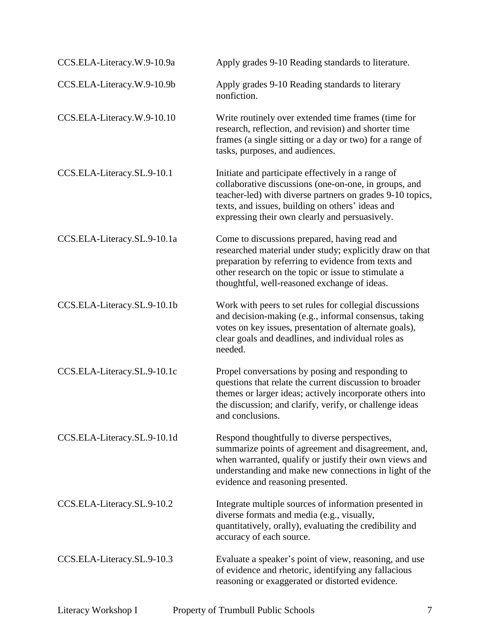| CCS.ELA-Literacy.W.9-10.9a  | Apply grades 9-10 Reading standards to literature.                                                                                                                                                                                                                             |
|-----------------------------|--------------------------------------------------------------------------------------------------------------------------------------------------------------------------------------------------------------------------------------------------------------------------------|
| CCS.ELA-Literacy.W.9-10.9b  | Apply grades 9-10 Reading standards to literary<br>nonfiction.                                                                                                                                                                                                                 |
| CCS.ELA-Literacy.W.9-10.10  | Write routinely over extended time frames (time for<br>research, reflection, and revision) and shorter time<br>frames (a single sitting or a day or two) for a range of<br>tasks, purposes, and audiences.                                                                     |
| CCS.ELA-Literacy.SL.9-10.1  | Initiate and participate effectively in a range of<br>collaborative discussions (one-on-one, in groups, and<br>teacher-led) with diverse partners on grades 9-10 topics,<br>texts, and issues, building on others' ideas and<br>expressing their own clearly and persuasively. |
| CCS.ELA-Literacy.SL.9-10.1a | Come to discussions prepared, having read and<br>researched material under study; explicitly draw on that<br>preparation by referring to evidence from texts and<br>other research on the topic or issue to stimulate a<br>thoughtful, well-reasoned exchange of ideas.        |
| CCS.ELA-Literacy.SL.9-10.1b | Work with peers to set rules for collegial discussions<br>and decision-making (e.g., informal consensus, taking<br>votes on key issues, presentation of alternate goals),<br>clear goals and deadlines, and individual roles as<br>needed.                                     |
| CCS.ELA-Literacy.SL.9-10.1c | Propel conversations by posing and responding to<br>questions that relate the current discussion to broader<br>themes or larger ideas; actively incorporate others into<br>the discussion; and clarify, verify, or challenge ideas<br>and conclusions.                         |
| CCS.ELA-Literacy.SL.9-10.1d | Respond thoughtfully to diverse perspectives,<br>summarize points of agreement and disagreement, and,<br>when warranted, qualify or justify their own views and<br>understanding and make new connections in light of the<br>evidence and reasoning presented.                 |
| CCS.ELA-Literacy.SL.9-10.2  | Integrate multiple sources of information presented in<br>diverse formats and media (e.g., visually,<br>quantitatively, orally), evaluating the credibility and<br>accuracy of each source.                                                                                    |
| CCS.ELA-Literacy.SL.9-10.3  | Evaluate a speaker's point of view, reasoning, and use<br>of evidence and rhetoric, identifying any fallacious<br>reasoning or exaggerated or distorted evidence.                                                                                                              |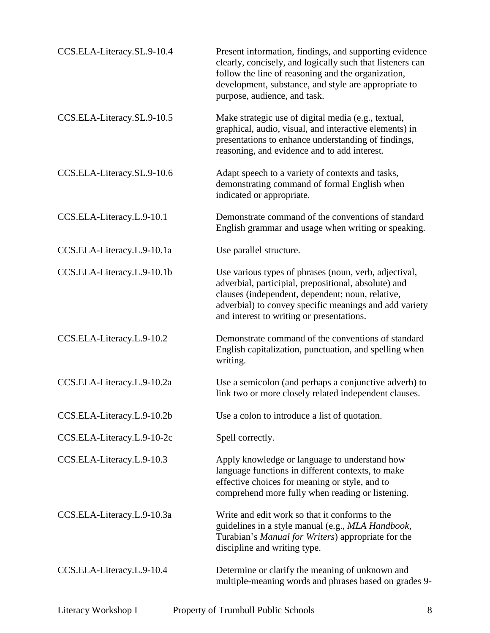| CCS.ELA-Literacy.SL.9-10.4 | Present information, findings, and supporting evidence<br>clearly, concisely, and logically such that listeners can<br>follow the line of reasoning and the organization,<br>development, substance, and style are appropriate to<br>purpose, audience, and task.        |
|----------------------------|--------------------------------------------------------------------------------------------------------------------------------------------------------------------------------------------------------------------------------------------------------------------------|
| CCS.ELA-Literacy.SL.9-10.5 | Make strategic use of digital media (e.g., textual,<br>graphical, audio, visual, and interactive elements) in<br>presentations to enhance understanding of findings,<br>reasoning, and evidence and to add interest.                                                     |
| CCS.ELA-Literacy.SL.9-10.6 | Adapt speech to a variety of contexts and tasks,<br>demonstrating command of formal English when<br>indicated or appropriate.                                                                                                                                            |
| CCS.ELA-Literacy.L.9-10.1  | Demonstrate command of the conventions of standard<br>English grammar and usage when writing or speaking.                                                                                                                                                                |
| CCS.ELA-Literacy.L.9-10.1a | Use parallel structure.                                                                                                                                                                                                                                                  |
| CCS.ELA-Literacy.L.9-10.1b | Use various types of phrases (noun, verb, adjectival,<br>adverbial, participial, prepositional, absolute) and<br>clauses (independent, dependent; noun, relative,<br>adverbial) to convey specific meanings and add variety<br>and interest to writing or presentations. |
| CCS.ELA-Literacy.L.9-10.2  | Demonstrate command of the conventions of standard<br>English capitalization, punctuation, and spelling when<br>writing.                                                                                                                                                 |
| CCS.ELA-Literacy.L.9-10.2a | Use a semicolon (and perhaps a conjunctive adverb) to<br>link two or more closely related independent clauses.                                                                                                                                                           |
| CCS.ELA-Literacy.L.9-10.2b | Use a colon to introduce a list of quotation.                                                                                                                                                                                                                            |
| CCS.ELA-Literacy.L.9-10-2c | Spell correctly.                                                                                                                                                                                                                                                         |
| CCS.ELA-Literacy.L.9-10.3  | Apply knowledge or language to understand how<br>language functions in different contexts, to make<br>effective choices for meaning or style, and to<br>comprehend more fully when reading or listening.                                                                 |
| CCS.ELA-Literacy.L.9-10.3a | Write and edit work so that it conforms to the<br>guidelines in a style manual (e.g., MLA Handbook,<br>Turabian's Manual for Writers) appropriate for the<br>discipline and writing type.                                                                                |
| CCS.ELA-Literacy.L.9-10.4  | Determine or clarify the meaning of unknown and<br>multiple-meaning words and phrases based on grades 9-                                                                                                                                                                 |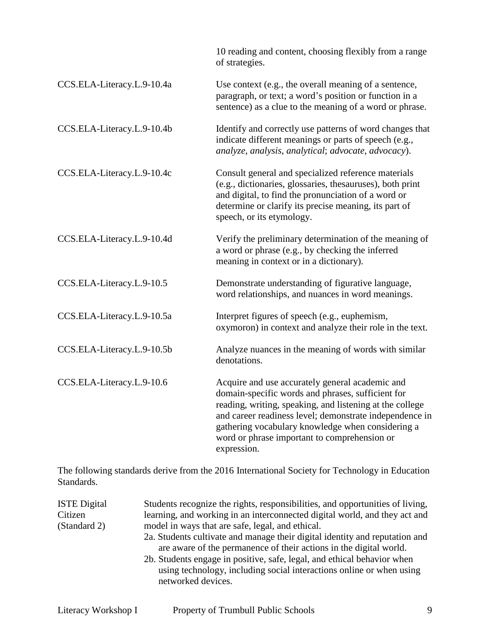|                            | 10 reading and content, choosing flexibly from a range<br>of strategies.                                                                                                                                                                                                                                                                        |
|----------------------------|-------------------------------------------------------------------------------------------------------------------------------------------------------------------------------------------------------------------------------------------------------------------------------------------------------------------------------------------------|
| CCS.ELA-Literacy.L.9-10.4a | Use context (e.g., the overall meaning of a sentence,<br>paragraph, or text; a word's position or function in a<br>sentence) as a clue to the meaning of a word or phrase.                                                                                                                                                                      |
| CCS.ELA-Literacy.L.9-10.4b | Identify and correctly use patterns of word changes that<br>indicate different meanings or parts of speech (e.g.,<br>analyze, analysis, analytical; advocate, advocacy).                                                                                                                                                                        |
| CCS.ELA-Literacy.L.9-10.4c | Consult general and specialized reference materials<br>(e.g., dictionaries, glossaries, thesauruses), both print<br>and digital, to find the pronunciation of a word or<br>determine or clarify its precise meaning, its part of<br>speech, or its etymology.                                                                                   |
| CCS.ELA-Literacy.L.9-10.4d | Verify the preliminary determination of the meaning of<br>a word or phrase (e.g., by checking the inferred<br>meaning in context or in a dictionary).                                                                                                                                                                                           |
| CCS.ELA-Literacy.L.9-10.5  | Demonstrate understanding of figurative language,<br>word relationships, and nuances in word meanings.                                                                                                                                                                                                                                          |
| CCS.ELA-Literacy.L.9-10.5a | Interpret figures of speech (e.g., euphemism,<br>oxymoron) in context and analyze their role in the text.                                                                                                                                                                                                                                       |
| CCS.ELA-Literacy.L.9-10.5b | Analyze nuances in the meaning of words with similar<br>denotations.                                                                                                                                                                                                                                                                            |
| CCS.ELA-Literacy.L.9-10.6  | Acquire and use accurately general academic and<br>domain-specific words and phrases, sufficient for<br>reading, writing, speaking, and listening at the college<br>and career readiness level; demonstrate independence in<br>gathering vocabulary knowledge when considering a<br>word or phrase important to comprehension or<br>expression. |

The following standards derive from the 2016 International Society for Technology in Education Standards.

| <b>ISTE</b> Digital | Students recognize the rights, responsibilities, and opportunities of living,                                                                                         |
|---------------------|-----------------------------------------------------------------------------------------------------------------------------------------------------------------------|
| Citizen             | learning, and working in an interconnected digital world, and they act and                                                                                            |
| (Standard 2)        | model in ways that are safe, legal, and ethical.                                                                                                                      |
|                     | 2a. Students cultivate and manage their digital identity and reputation and<br>are aware of the permanence of their actions in the digital world.                     |
|                     | 2b. Students engage in positive, safe, legal, and ethical behavior when<br>using technology, including social interactions online or when using<br>networked devices. |
|                     |                                                                                                                                                                       |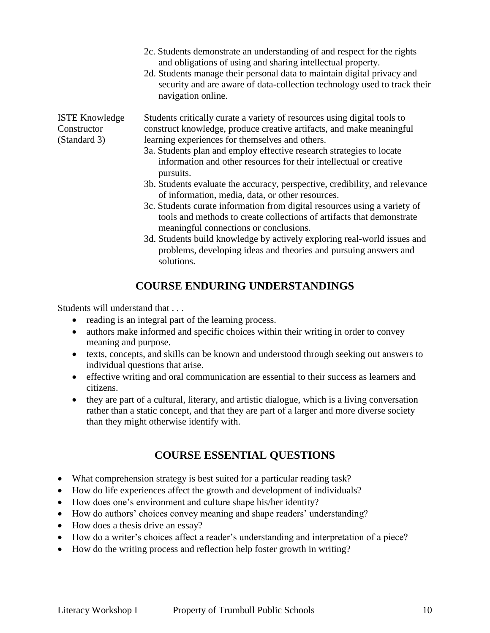|                                                      | 2c. Students demonstrate an understanding of and respect for the rights<br>and obligations of using and sharing intellectual property.<br>2d. Students manage their personal data to maintain digital privacy and<br>security and are aware of data-collection technology used to track their<br>navigation online.                                            |
|------------------------------------------------------|----------------------------------------------------------------------------------------------------------------------------------------------------------------------------------------------------------------------------------------------------------------------------------------------------------------------------------------------------------------|
| <b>ISTE Knowledge</b><br>Constructor<br>(Standard 3) | Students critically curate a variety of resources using digital tools to<br>construct knowledge, produce creative artifacts, and make meaningful<br>learning experiences for themselves and others.<br>3a. Students plan and employ effective research strategies to locate<br>information and other resources for their intellectual or creative<br>pursuits. |
|                                                      | 3b. Students evaluate the accuracy, perspective, credibility, and relevance<br>of information, media, data, or other resources.<br>3c. Students curate information from digital resources using a variety of<br>tools and methods to create collections of artifacts that demonstrate<br>meaningful connections or conclusions.                                |

3d. Students build knowledge by actively exploring real-world issues and problems, developing ideas and theories and pursuing answers and solutions.

## **COURSE ENDURING UNDERSTANDINGS**

Students will understand that . . .

- reading is an integral part of the learning process.
- authors make informed and specific choices within their writing in order to convey meaning and purpose.
- texts, concepts, and skills can be known and understood through seeking out answers to individual questions that arise.
- effective writing and oral communication are essential to their success as learners and citizens.
- they are part of a cultural, literary, and artistic dialogue, which is a living conversation rather than a static concept, and that they are part of a larger and more diverse society than they might otherwise identify with.

## **COURSE ESSENTIAL QUESTIONS**

- What comprehension strategy is best suited for a particular reading task?
- How do life experiences affect the growth and development of individuals?
- How does one's environment and culture shape his/her identity?
- How do authors' choices convey meaning and shape readers' understanding?
- How does a thesis drive an essay?
- How do a writer's choices affect a reader's understanding and interpretation of a piece?
- How do the writing process and reflection help foster growth in writing?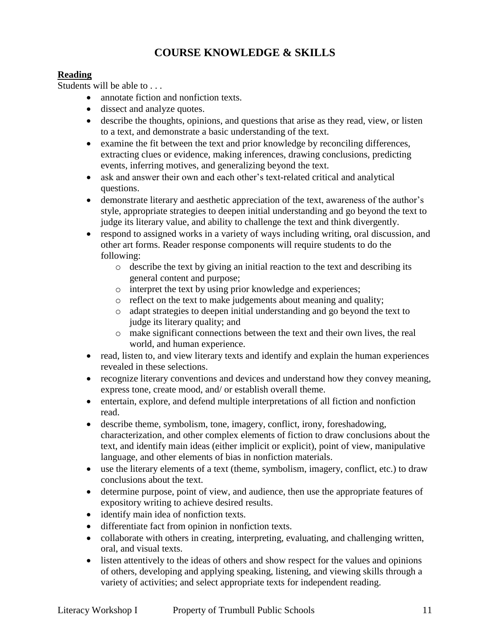## **COURSE KNOWLEDGE & SKILLS**

## **Reading**

Students will be able to . . .

- annotate fiction and nonfiction texts.
- dissect and analyze quotes.
- describe the thoughts, opinions, and questions that arise as they read, view, or listen to a text, and demonstrate a basic understanding of the text.
- examine the fit between the text and prior knowledge by reconciling differences, extracting clues or evidence, making inferences, drawing conclusions, predicting events, inferring motives, and generalizing beyond the text.
- ask and answer their own and each other's text-related critical and analytical questions.
- demonstrate literary and aesthetic appreciation of the text, awareness of the author's style, appropriate strategies to deepen initial understanding and go beyond the text to judge its literary value, and ability to challenge the text and think divergently.
- respond to assigned works in a variety of ways including writing, oral discussion, and other art forms. Reader response components will require students to do the following:
	- o describe the text by giving an initial reaction to the text and describing its general content and purpose;
	- o interpret the text by using prior knowledge and experiences;
	- o reflect on the text to make judgements about meaning and quality;
	- o adapt strategies to deepen initial understanding and go beyond the text to judge its literary quality; and
	- o make significant connections between the text and their own lives, the real world, and human experience.
- read, listen to, and view literary texts and identify and explain the human experiences revealed in these selections.
- recognize literary conventions and devices and understand how they convey meaning, express tone, create mood, and/ or establish overall theme.
- entertain, explore, and defend multiple interpretations of all fiction and nonfiction read.
- describe theme, symbolism, tone, imagery, conflict, irony, foreshadowing, characterization, and other complex elements of fiction to draw conclusions about the text, and identify main ideas (either implicit or explicit), point of view, manipulative language, and other elements of bias in nonfiction materials.
- use the literary elements of a text (theme, symbolism, imagery, conflict, etc.) to draw conclusions about the text.
- determine purpose, point of view, and audience, then use the appropriate features of expository writing to achieve desired results.
- identify main idea of nonfiction texts.
- differentiate fact from opinion in nonfiction texts.
- collaborate with others in creating, interpreting, evaluating, and challenging written, oral, and visual texts.
- listen attentively to the ideas of others and show respect for the values and opinions of others, developing and applying speaking, listening, and viewing skills through a variety of activities; and select appropriate texts for independent reading.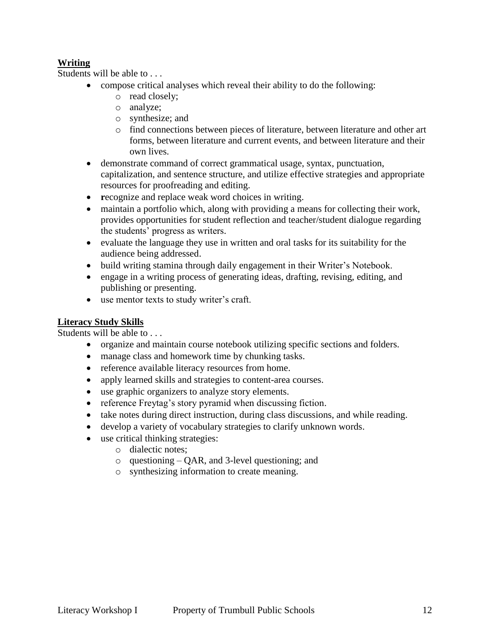## **Writing**

Students will be able to . . .

- compose critical analyses which reveal their ability to do the following:
	- o read closely;
	- o analyze;
	- o synthesize; and
	- o find connections between pieces of literature, between literature and other art forms, between literature and current events, and between literature and their own lives.
- demonstrate command of correct grammatical usage, syntax, punctuation, capitalization, and sentence structure, and utilize effective strategies and appropriate resources for proofreading and editing.
- recognize and replace weak word choices in writing.
- maintain a portfolio which, along with providing a means for collecting their work, provides opportunities for student reflection and teacher/student dialogue regarding the students' progress as writers.
- evaluate the language they use in written and oral tasks for its suitability for the audience being addressed.
- build writing stamina through daily engagement in their Writer's Notebook.
- engage in a writing process of generating ideas, drafting, revising, editing, and publishing or presenting.
- use mentor texts to study writer's craft.

## **Literacy Study Skills**

Students will be able to ...

- organize and maintain course notebook utilizing specific sections and folders.
- manage class and homework time by chunking tasks.
- reference available literacy resources from home.
- apply learned skills and strategies to content-area courses.
- use graphic organizers to analyze story elements.
- reference Freytag's story pyramid when discussing fiction.
- take notes during direct instruction, during class discussions, and while reading.
- develop a variety of vocabulary strategies to clarify unknown words.
- use critical thinking strategies:
	- o dialectic notes;
	- o questioning QAR, and 3-level questioning; and
	- o synthesizing information to create meaning.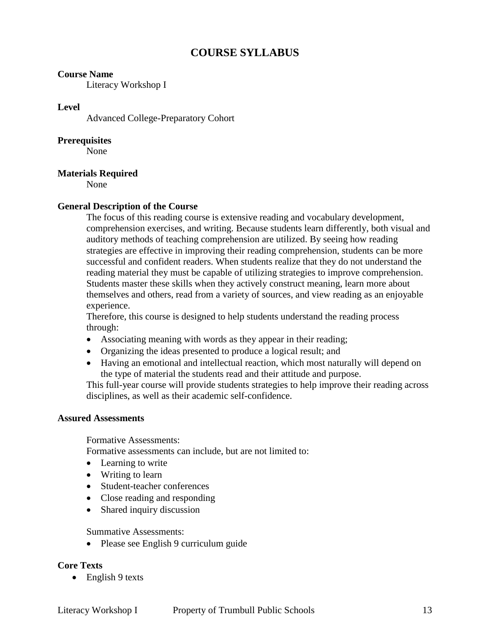## **COURSE SYLLABUS**

#### **Course Name**

Literacy Workshop I

#### **Level**

Advanced College-Preparatory Cohort

#### **Prerequisites**

None

#### **Materials Required**

None

### **General Description of the Course**

The focus of this reading course is extensive reading and vocabulary development, comprehension exercises, and writing. Because students learn differently, both visual and auditory methods of teaching comprehension are utilized. By seeing how reading strategies are effective in improving their reading comprehension, students can be more successful and confident readers. When students realize that they do not understand the reading material they must be capable of utilizing strategies to improve comprehension. Students master these skills when they actively construct meaning, learn more about themselves and others, read from a variety of sources, and view reading as an enjoyable experience.

Therefore, this course is designed to help students understand the reading process through:

- Associating meaning with words as they appear in their reading;
- Organizing the ideas presented to produce a logical result; and
- Having an emotional and intellectual reaction, which most naturally will depend on the type of material the students read and their attitude and purpose.

This full-year course will provide students strategies to help improve their reading across disciplines, as well as their academic self-confidence.

#### **Assured Assessments**

Formative Assessments:

Formative assessments can include, but are not limited to:

- Learning to write
- Writing to learn
- Student-teacher conferences
- Close reading and responding
- Shared inquiry discussion

#### Summative Assessments:

• Please see English 9 curriculum guide

#### **Core Texts**

 $\bullet$  English 9 texts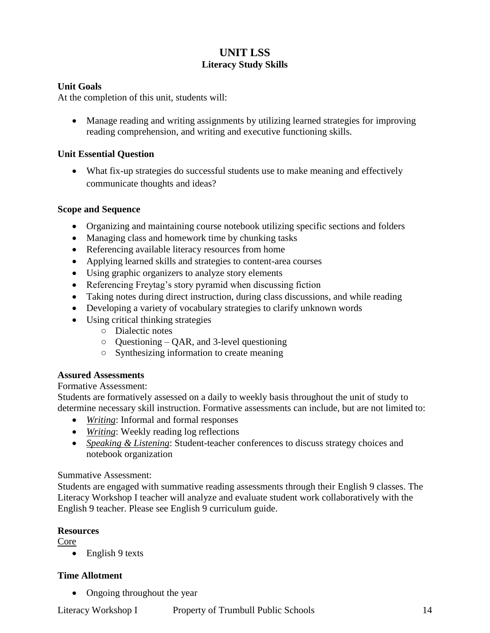## **UNIT LSS Literacy Study Skills**

## **Unit Goals**

At the completion of this unit, students will:

 Manage reading and writing assignments by utilizing learned strategies for improving reading comprehension, and writing and executive functioning skills.

## **Unit Essential Question**

• What fix-up strategies do successful students use to make meaning and effectively communicate thoughts and ideas?

#### **Scope and Sequence**

- Organizing and maintaining course notebook utilizing specific sections and folders
- Managing class and homework time by chunking tasks
- Referencing available literacy resources from home
- Applying learned skills and strategies to content-area courses
- Using graphic organizers to analyze story elements
- Referencing Freytag's story pyramid when discussing fiction
- Taking notes during direct instruction, during class discussions, and while reading
- Developing a variety of vocabulary strategies to clarify unknown words
- Using critical thinking strategies
	- Dialectic notes
	- Questioning QAR, and 3-level questioning
	- Synthesizing information to create meaning

#### **Assured Assessments**

#### Formative Assessment:

Students are formatively assessed on a daily to weekly basis throughout the unit of study to determine necessary skill instruction. Formative assessments can include, but are not limited to:

- *Writing*: Informal and formal responses
- *Writing*: Weekly reading log reflections
- *Speaking & Listening*: Student-teacher conferences to discuss strategy choices and notebook organization

#### Summative Assessment:

Students are engaged with summative reading assessments through their English 9 classes. The Literacy Workshop I teacher will analyze and evaluate student work collaboratively with the English 9 teacher. Please see English 9 curriculum guide.

#### **Resources**

Core

• English 9 texts

## **Time Allotment**

• Ongoing throughout the year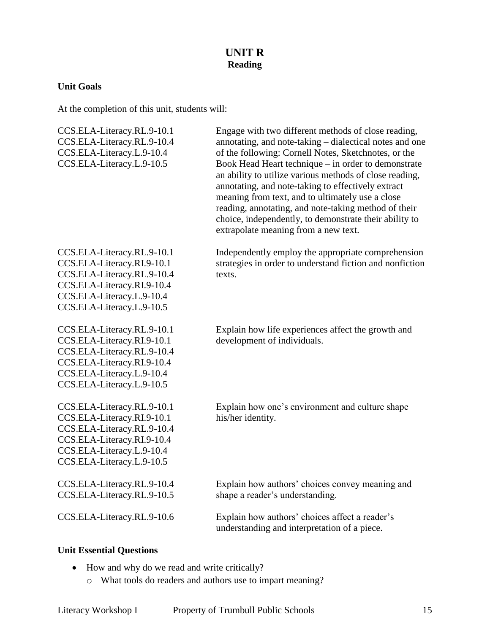## **UNIT R Reading**

## **Unit Goals**

At the completion of this unit, students will:

| CCS.ELA-Literacy.RL.9-10.1<br>CCS.ELA-Literacy.RL.9-10.4<br>CCS.ELA-Literacy.L.9-10.4<br>CCS.ELA-Literacy.L.9-10.5                                                             | Engage with two different methods of close reading,<br>annotating, and note-taking - dialectical notes and one<br>of the following: Cornell Notes, Sketchnotes, or the<br>Book Head Heart technique – in order to demonstrate<br>an ability to utilize various methods of close reading,<br>annotating, and note-taking to effectively extract<br>meaning from text, and to ultimately use a close<br>reading, annotating, and note-taking method of their<br>choice, independently, to demonstrate their ability to<br>extrapolate meaning from a new text. |
|--------------------------------------------------------------------------------------------------------------------------------------------------------------------------------|--------------------------------------------------------------------------------------------------------------------------------------------------------------------------------------------------------------------------------------------------------------------------------------------------------------------------------------------------------------------------------------------------------------------------------------------------------------------------------------------------------------------------------------------------------------|
| CCS.ELA-Literacy.RL.9-10.1<br>CCS.ELA-Literacy.RI.9-10.1<br>CCS.ELA-Literacy.RL.9-10.4<br>CCS.ELA-Literacy.RI.9-10.4<br>CCS.ELA-Literacy.L.9-10.4<br>CCS.ELA-Literacy.L.9-10.5 | Independently employ the appropriate comprehension<br>strategies in order to understand fiction and nonfiction<br>texts.                                                                                                                                                                                                                                                                                                                                                                                                                                     |
| CCS.ELA-Literacy.RL.9-10.1<br>CCS.ELA-Literacy.RI.9-10.1<br>CCS.ELA-Literacy.RL.9-10.4<br>CCS.ELA-Literacy.RI.9-10.4<br>CCS.ELA-Literacy.L.9-10.4<br>CCS.ELA-Literacy.L.9-10.5 | Explain how life experiences affect the growth and<br>development of individuals.                                                                                                                                                                                                                                                                                                                                                                                                                                                                            |
| CCS.ELA-Literacy.RL.9-10.1<br>CCS.ELA-Literacy.RI.9-10.1<br>CCS.ELA-Literacy.RL.9-10.4<br>CCS.ELA-Literacy.RI.9-10.4<br>CCS.ELA-Literacy.L.9-10.4<br>CCS.ELA-Literacy.L.9-10.5 | Explain how one's environment and culture shape<br>his/her identity.                                                                                                                                                                                                                                                                                                                                                                                                                                                                                         |
| CCS.ELA-Literacy.RL.9-10.4<br>CCS.ELA-Literacy.RL.9-10.5                                                                                                                       | Explain how authors' choices convey meaning and<br>shape a reader's understanding.                                                                                                                                                                                                                                                                                                                                                                                                                                                                           |
| CCS.ELA-Literacy.RL.9-10.6                                                                                                                                                     | Explain how authors' choices affect a reader's<br>understanding and interpretation of a piece.                                                                                                                                                                                                                                                                                                                                                                                                                                                               |

## **Unit Essential Questions**

- How and why do we read and write critically?
	- o What tools do readers and authors use to impart meaning?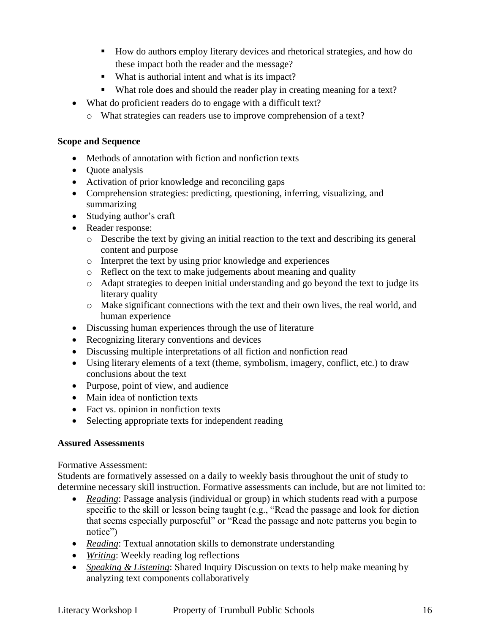- How do authors employ literary devices and rhetorical strategies, and how do these impact both the reader and the message?
- What is authorial intent and what is its impact?
- What role does and should the reader play in creating meaning for a text?
- What do proficient readers do to engage with a difficult text?
	- o What strategies can readers use to improve comprehension of a text?

## **Scope and Sequence**

- Methods of annotation with fiction and nonfiction texts
- Quote analysis
- Activation of prior knowledge and reconciling gaps
- Comprehension strategies: predicting, questioning, inferring, visualizing, and summarizing
- Studying author's craft
- Reader response:
	- o Describe the text by giving an initial reaction to the text and describing its general content and purpose
	- o Interpret the text by using prior knowledge and experiences
	- o Reflect on the text to make judgements about meaning and quality
	- o Adapt strategies to deepen initial understanding and go beyond the text to judge its literary quality
	- o Make significant connections with the text and their own lives, the real world, and human experience
- Discussing human experiences through the use of literature
- Recognizing literary conventions and devices
- Discussing multiple interpretations of all fiction and nonfiction read
- Using literary elements of a text (theme, symbolism, imagery, conflict, etc.) to draw conclusions about the text
- Purpose, point of view, and audience
- Main idea of nonfiction texts
- Fact vs. opinion in nonfiction texts
- Selecting appropriate texts for independent reading

## **Assured Assessments**

Formative Assessment:

Students are formatively assessed on a daily to weekly basis throughout the unit of study to determine necessary skill instruction. Formative assessments can include, but are not limited to:

- *Reading*: Passage analysis (individual or group) in which students read with a purpose specific to the skill or lesson being taught (e.g., "Read the passage and look for diction that seems especially purposeful" or "Read the passage and note patterns you begin to notice")
- *Reading*: Textual annotation skills to demonstrate understanding
- *Writing*: Weekly reading log reflections
- *Speaking & Listening*: Shared Inquiry Discussion on texts to help make meaning by analyzing text components collaboratively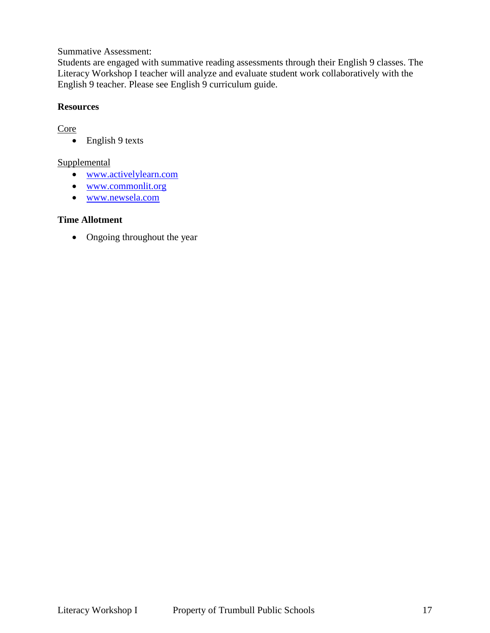Summative Assessment:

Students are engaged with summative reading assessments through their English 9 classes. The Literacy Workshop I teacher will analyze and evaluate student work collaboratively with the English 9 teacher. Please see English 9 curriculum guide.

### **Resources**

## **Core**

• English 9 texts

## **Supplemental**

- [www.activelylearn.com](http://www.activelylearn.com/)
- [www.commonlit.org](http://www.commonlit.org/)
- [www.newsela.com](http://www.newsela.com/)

### **Time Allotment**

• Ongoing throughout the year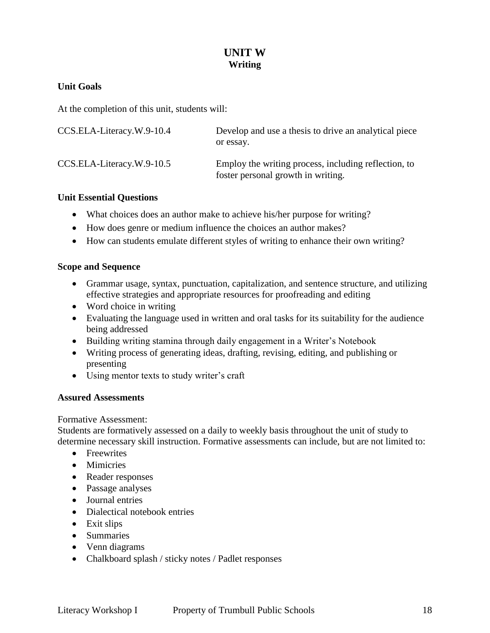## **UNIT W Writing**

## **Unit Goals**

At the completion of this unit, students will:

| CCS.ELA-Literacy.W.9-10.4 | Develop and use a thesis to drive an analytical piece<br>or essay.                         |
|---------------------------|--------------------------------------------------------------------------------------------|
| CCS.ELA-Literacy.W.9-10.5 | Employ the writing process, including reflection, to<br>foster personal growth in writing. |

### **Unit Essential Questions**

- What choices does an author make to achieve his/her purpose for writing?
- How does genre or medium influence the choices an author makes?
- How can students emulate different styles of writing to enhance their own writing?

### **Scope and Sequence**

- Grammar usage, syntax, punctuation, capitalization, and sentence structure, and utilizing effective strategies and appropriate resources for proofreading and editing
- Word choice in writing
- Evaluating the language used in written and oral tasks for its suitability for the audience being addressed
- Building writing stamina through daily engagement in a Writer's Notebook
- Writing process of generating ideas, drafting, revising, editing, and publishing or presenting
- Using mentor texts to study writer's craft

## **Assured Assessments**

#### Formative Assessment:

Students are formatively assessed on a daily to weekly basis throughout the unit of study to determine necessary skill instruction. Formative assessments can include, but are not limited to:

- Freewrites
- Mimicries
- Reader responses
- Passage analyses
- Journal entries
- Dialectical notebook entries
- Exit slips
- Summaries
- Venn diagrams
- Chalkboard splash / sticky notes / Padlet responses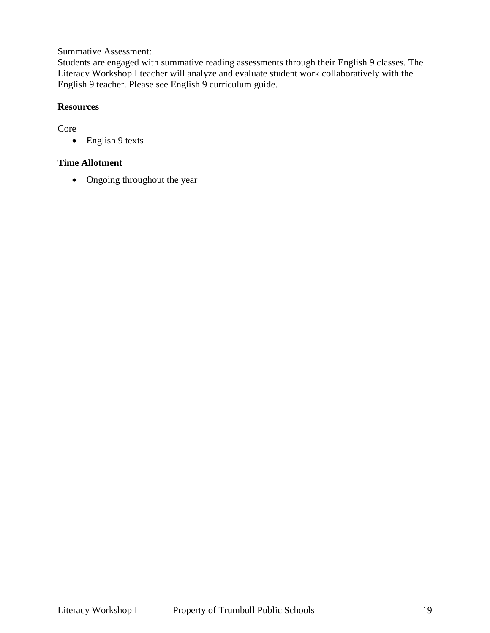Summative Assessment:

Students are engaged with summative reading assessments through their English 9 classes. The Literacy Workshop I teacher will analyze and evaluate student work collaboratively with the English 9 teacher. Please see English 9 curriculum guide.

## **Resources**

## **Core**

• English 9 texts

## **Time Allotment**

• Ongoing throughout the year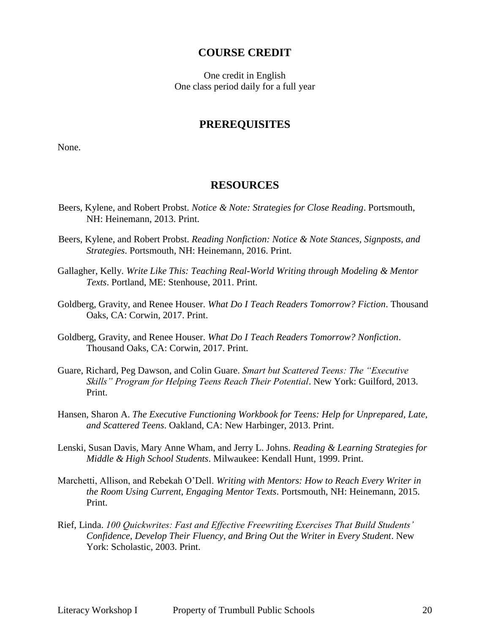## **COURSE CREDIT**

One credit in English One class period daily for a full year

## **PREREQUISITES**

None.

#### **RESOURCES**

- Beers, Kylene, and Robert Probst. *Notice & Note: Strategies for Close Reading*. Portsmouth, NH: Heinemann, 2013. Print.
- Beers, Kylene, and Robert Probst. *Reading Nonfiction: Notice & Note Stances, Signposts, and Strategies*. Portsmouth, NH: Heinemann, 2016. Print.
- Gallagher, Kelly. *Write Like This: Teaching Real-World Writing through Modeling & Mentor Texts*. Portland, ME: Stenhouse, 2011. Print.
- Goldberg, Gravity, and Renee Houser. *What Do I Teach Readers Tomorrow? Fiction*. Thousand Oaks, CA: Corwin, 2017. Print.
- Goldberg, Gravity, and Renee Houser. *What Do I Teach Readers Tomorrow? Nonfiction*. Thousand Oaks, CA: Corwin, 2017. Print.
- Guare, Richard, Peg Dawson, and Colin Guare. *Smart but Scattered Teens: The "Executive Skills" Program for Helping Teens Reach Their Potential*. New York: Guilford, 2013. Print.
- Hansen, Sharon A. *The Executive Functioning Workbook for Teens: Help for Unprepared, Late, and Scattered Teens*. Oakland, CA: New Harbinger, 2013. Print.
- Lenski, Susan Davis, Mary Anne Wham, and Jerry L. Johns. *Reading & Learning Strategies for Middle & High School Students*. Milwaukee: Kendall Hunt, 1999. Print.
- Marchetti, Allison, and Rebekah O'Dell. *Writing with Mentors: How to Reach Every Writer in the Room Using Current, Engaging Mentor Texts*. Portsmouth, NH: Heinemann, 2015. Print.
- Rief, Linda. *100 Quickwrites: Fast and Effective Freewriting Exercises That Build Students' Confidence, Develop Their Fluency, and Bring Out the Writer in Every Student*. New York: Scholastic, 2003. Print.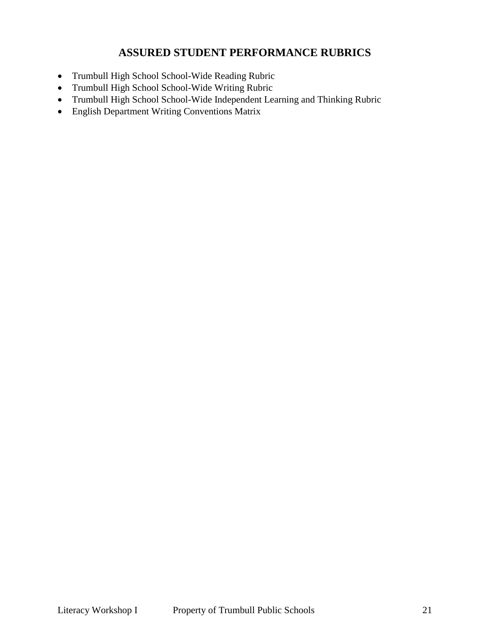## **ASSURED STUDENT PERFORMANCE RUBRICS**

- Trumbull High School School-Wide Reading Rubric
- Trumbull High School School-Wide Writing Rubric
- Trumbull High School School-Wide Independent Learning and Thinking Rubric
- English Department Writing Conventions Matrix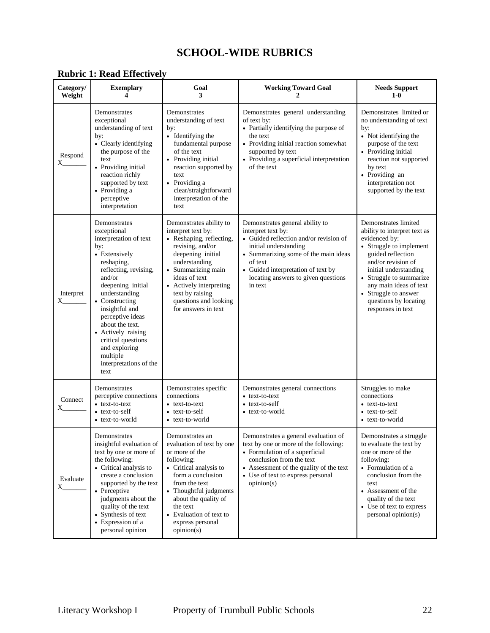## **SCHOOL-WIDE RUBRICS**

| Category/<br>Weight   | <b>Exemplary</b>                                                                                                                                                                                                                                                                                                                                           | Goal<br>3                                                                                                                                                                                                                                                                | <b>Working Toward Goal</b><br>7.                                                                                                                                                                                                                                    | <b>Needs Support</b><br>$1-0$                                                                                                                                                                                                                                                                   |
|-----------------------|------------------------------------------------------------------------------------------------------------------------------------------------------------------------------------------------------------------------------------------------------------------------------------------------------------------------------------------------------------|--------------------------------------------------------------------------------------------------------------------------------------------------------------------------------------------------------------------------------------------------------------------------|---------------------------------------------------------------------------------------------------------------------------------------------------------------------------------------------------------------------------------------------------------------------|-------------------------------------------------------------------------------------------------------------------------------------------------------------------------------------------------------------------------------------------------------------------------------------------------|
| Respond<br>$X_{--}$   | Demonstrates<br>exceptional<br>understanding of text<br>by:<br>• Clearly identifying<br>the purpose of the<br>text<br>• Providing initial<br>reaction richly<br>supported by text<br>• Providing a<br>perceptive<br>interpretation                                                                                                                         | Demonstrates<br>understanding of text<br>by:<br>• Identifying the<br>fundamental purpose<br>of the text<br>• Providing initial<br>reaction supported by<br>text<br>• Providing a<br>clear/straightforward<br>interpretation of the<br>text                               | Demonstrates general understanding<br>of text by:<br>• Partially identifying the purpose of<br>the text<br>• Providing initial reaction somewhat<br>supported by text<br>• Providing a superficial interpretation<br>of the text                                    | Demonstrates limited or<br>no understanding of text<br>by:<br>• Not identifying the<br>purpose of the text<br>• Providing initial<br>reaction not supported<br>by text<br>• Providing an<br>interpretation not<br>supported by the text                                                         |
| Interpret<br>$X_{--}$ | Demonstrates<br>exceptional<br>interpretation of text<br>by:<br>• Extensively<br>reshaping,<br>reflecting, revising,<br>and/or<br>deepening initial<br>understanding<br>• Constructing<br>insightful and<br>perceptive ideas<br>about the text.<br>• Actively raising<br>critical questions<br>and exploring<br>multiple<br>interpretations of the<br>text | Demonstrates ability to<br>interpret text by:<br>• Reshaping, reflecting,<br>revising, and/or<br>deepening initial<br>understanding<br>• Summarizing main<br>ideas of text<br>• Actively interpreting<br>text by raising<br>questions and looking<br>for answers in text | Demonstrates general ability to<br>interpret text by:<br>• Guided reflection and/or revision of<br>initial understanding<br>• Summarizing some of the main ideas<br>of text<br>• Guided interpretation of text by<br>locating answers to given questions<br>in text | Demonstrates limited<br>ability to interpret text as<br>evidenced by:<br>• Struggle to implement<br>guided reflection<br>and/or revision of<br>initial understanding<br>• Struggle to summarize<br>any main ideas of text<br>• Struggle to answer<br>questions by locating<br>responses in text |
| Connect<br>X.         | Demonstrates<br>perceptive connections<br>• text-to-text<br>• text-to-self<br>• text-to-world                                                                                                                                                                                                                                                              | Demonstrates specific<br>connections<br>• text-to-text<br>• text-to-self<br>• text-to-world                                                                                                                                                                              | Demonstrates general connections<br>• text-to-text<br>• text-to-self<br>• text-to-world                                                                                                                                                                             | Struggles to make<br>connections<br>• text-to-text<br>• text-to-self<br>• text-to-world                                                                                                                                                                                                         |
| Evaluate<br>X         | Demonstrates<br>insightful evaluation of<br>text by one or more of<br>the following:<br>• Critical analysis to<br>create a conclusion<br>supported by the text<br>• Perceptive<br>judgments about the<br>quality of the text<br>• Synthesis of text<br>• Expression of a<br>personal opinion                                                               | Demonstrates an<br>evaluation of text by one<br>or more of the<br>following:<br>• Critical analysis to<br>form a conclusion<br>from the text<br>• Thoughtful judgments<br>about the quality of<br>the text<br>• Evaluation of text to<br>express personal<br>opinion(s)  | Demonstrates a general evaluation of<br>text by one or more of the following:<br>• Formulation of a superficial<br>conclusion from the text<br>• Assessment of the quality of the text<br>• Use of text to express personal<br>opinion(s)                           | Demonstrates a struggle<br>to evaluate the text by<br>one or more of the<br>following:<br>• Formulation of a<br>conclusion from the<br>text<br>• Assessment of the<br>quality of the text<br>• Use of text to express<br>personal opinion(s)                                                    |

## **Rubric 1: Read Effectively**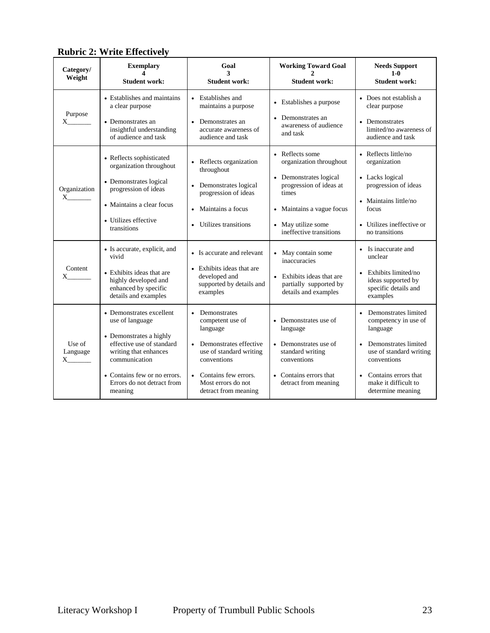| Category/                      | Radir 2. While Encenvery<br><b>Exemplary</b>                                                      | Goal<br>3                                                                          | <b>Working Toward Goal</b>                                                  | <b>Needs Support</b><br>$1-0$                                                   |
|--------------------------------|---------------------------------------------------------------------------------------------------|------------------------------------------------------------------------------------|-----------------------------------------------------------------------------|---------------------------------------------------------------------------------|
| Weight                         | <b>Student work:</b>                                                                              | <b>Student work:</b>                                                               | <b>Student work:</b>                                                        | <b>Student work:</b>                                                            |
| Purpose<br>$X \sim$            | • Establishes and maintains<br>a clear purpose                                                    | Establishes and<br>maintains a purpose                                             | • Establishes a purpose                                                     | • Does not establish a<br>clear purpose                                         |
|                                | • Demonstrates an<br>insightful understanding<br>of audience and task                             | Demonstrates an<br>accurate awareness of<br>audience and task                      | Demonstrates an<br>awareness of audience<br>and task                        | • Demonstrates<br>limited/no awareness of<br>audience and task                  |
| Organization<br>X              | • Reflects sophisticated<br>organization throughout                                               | Reflects organization<br>throughout                                                | • Reflects some<br>organization throughout                                  | • Reflects little/no<br>organization                                            |
|                                | • Demonstrates logical<br>progression of ideas                                                    | Demonstrates logical<br>$\bullet$<br>progression of ideas                          | • Demonstrates logical<br>progression of ideas at<br>times                  | • Lacks logical<br>progression of ideas                                         |
|                                | • Maintains a clear focus                                                                         | Maintains a focus                                                                  | • Maintains a vague focus                                                   | • Maintains little/no<br>focus                                                  |
|                                | • Utilizes effective<br>transitions                                                               | Utilizes transitions                                                               | May utilize some<br>ineffective transitions                                 | • Utilizes ineffective or<br>no transitions                                     |
|                                | • Is accurate, explicit, and<br>vivid                                                             | • Is accurate and relevant                                                         | May contain some<br>inaccuracies                                            | • Is inaccurate and<br>unclear                                                  |
| Content                        | • Exhibits ideas that are<br>highly developed and<br>enhanced by specific<br>details and examples | • Exhibits ideas that are<br>developed and<br>supported by details and<br>examples | • Exhibits ideas that are<br>partially supported by<br>details and examples | • Exhibits limited/no<br>ideas supported by<br>specific details and<br>examples |
|                                | • Demonstrates excellent<br>use of language                                                       | Demonstrates<br>competent use of<br>language                                       | • Demonstrates use of<br>language                                           | Demonstrates limited<br>competency in use of<br>language                        |
| Use of<br>Language<br>$X \sim$ | • Demonstrates a highly<br>effective use of standard<br>writing that enhances<br>communication    | Demonstrates effective<br>$\bullet$<br>use of standard writing<br>conventions      | • Demonstrates use of<br>standard writing<br>conventions                    | • Demonstrates limited<br>use of standard writing<br>conventions                |
|                                | • Contains few or no errors.<br>Errors do not detract from<br>meaning                             | Contains few errors.<br>$\bullet$<br>Most errors do not<br>detract from meaning    | • Contains errors that<br>detract from meaning                              | • Contains errors that<br>make it difficult to<br>determine meaning             |

## **Rubric 2: Write Effectively**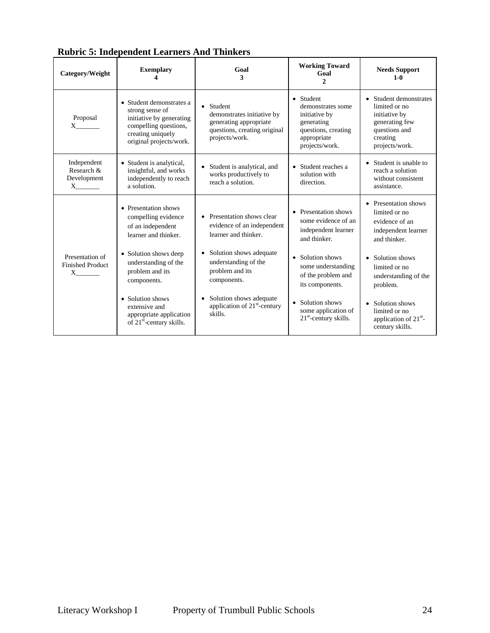| Category/Weight                                                | <b>Exemplary</b>                                                                                                                                 | Goal<br>3                                                                                                         | <b>Working Toward</b><br>Goal<br>$\mathcal{L}$                                                                        | <b>Needs Support</b><br>$1-0$                                                                                             |
|----------------------------------------------------------------|--------------------------------------------------------------------------------------------------------------------------------------------------|-------------------------------------------------------------------------------------------------------------------|-----------------------------------------------------------------------------------------------------------------------|---------------------------------------------------------------------------------------------------------------------------|
| Proposal<br>$X \qquad \qquad$                                  | • Student demonstrates a<br>strong sense of<br>initiative by generating<br>compelling questions,<br>creating uniquely<br>original projects/work. | Student<br>demonstrates initiative by<br>generating appropriate<br>questions, creating original<br>projects/work. | • Student<br>demonstrates some<br>initiative by<br>generating<br>questions, creating<br>appropriate<br>projects/work. | • Student demonstrates<br>limited or no<br>initiative by<br>generating few<br>questions and<br>creating<br>projects/work. |
| Independent<br>Research &<br>Development<br>$X$ <sub>1</sub>   | • Student is analytical,<br>insightful, and works<br>independently to reach<br>a solution.                                                       | Student is analytical, and<br>works productively to<br>reach a solution.                                          | • Student reaches a<br>solution with<br>direction.                                                                    | • Student is unable to<br>reach a solution<br>without consistent<br>assistance.                                           |
|                                                                | • Presentation shows<br>compelling evidence<br>of an independent<br>learner and thinker.                                                         | • Presentation shows clear<br>evidence of an independent<br>learner and thinker.                                  | • Presentation shows<br>some evidence of an<br>independent learner<br>and thinker.                                    | • Presentation shows<br>limited or no<br>evidence of an<br>independent learner<br>and thinker.                            |
| Presentation of<br><b>Finished Product</b><br>$X$ <sub>1</sub> | • Solution shows deep<br>understanding of the<br>problem and its<br>components.                                                                  | Solution shows adequate<br>$\bullet$<br>understanding of the<br>problem and its<br>components.                    | • Solution shows<br>some understanding<br>of the problem and<br>its components.                                       | • Solution shows<br>limited or no<br>understanding of the<br>problem.                                                     |
|                                                                | • Solution shows<br>extensive and<br>appropriate application<br>of $21^{st}$ -century skills.                                                    | Solution shows adequate<br>application of $21st$ -century<br>skills.                                              | Solution shows<br>some application of<br>$21st$ -century skills.                                                      | • Solution shows<br>limited or no<br>application of $21st$ -<br>century skills.                                           |

**Rubric 5: Independent Learners And Thinkers**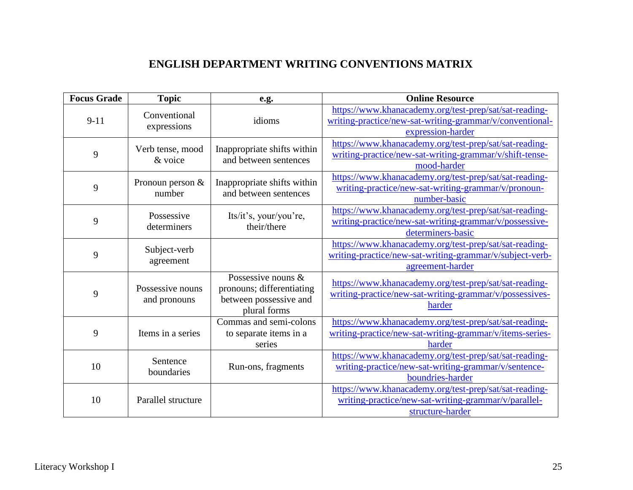## **ENGLISH DEPARTMENT WRITING CONVENTIONS MATRIX**

| <b>Focus Grade</b> | <b>Topic</b>                     | e.g.                                                                                      | <b>Online Resource</b>                                                                                                                  |
|--------------------|----------------------------------|-------------------------------------------------------------------------------------------|-----------------------------------------------------------------------------------------------------------------------------------------|
| $9 - 11$           | Conventional<br>expressions      | idioms                                                                                    | https://www.khanacademy.org/test-prep/sat/sat-reading-<br>writing-practice/new-sat-writing-grammar/v/conventional-<br>expression-harder |
| 9                  | Verb tense, mood<br>& voice      | Inappropriate shifts within<br>and between sentences                                      | https://www.khanacademy.org/test-prep/sat/sat-reading-<br>writing-practice/new-sat-writing-grammar/v/shift-tense-<br>mood-harder        |
| 9                  | Pronoun person $&$<br>number     | Inappropriate shifts within<br>and between sentences                                      | https://www.khanacademy.org/test-prep/sat/sat-reading-<br>writing-practice/new-sat-writing-grammar/v/pronoun-<br>number-basic           |
| 9                  | Possessive<br>determiners        | Its/it's, your/you're,<br>their/there                                                     | https://www.khanacademy.org/test-prep/sat/sat-reading-<br>writing-practice/new-sat-writing-grammar/v/possessive-<br>determiners-basic   |
| 9                  | Subject-verb<br>agreement        |                                                                                           | https://www.khanacademy.org/test-prep/sat/sat-reading-<br>writing-practice/new-sat-writing-grammar/v/subject-verb-<br>agreement-harder  |
| 9                  | Possessive nouns<br>and pronouns | Possessive nouns &<br>pronouns; differentiating<br>between possessive and<br>plural forms | https://www.khanacademy.org/test-prep/sat/sat-reading-<br>writing-practice/new-sat-writing-grammar/v/possessives-<br>harder             |
| 9                  | Items in a series                | Commas and semi-colons<br>to separate items in a<br>series                                | https://www.khanacademy.org/test-prep/sat/sat-reading-<br>writing-practice/new-sat-writing-grammar/v/items-series-<br>harder            |
| 10                 | Sentence<br>boundaries           | Run-ons, fragments                                                                        | https://www.khanacademy.org/test-prep/sat/sat-reading-<br>writing-practice/new-sat-writing-grammar/v/sentence-<br>boundries-harder      |
| 10                 | Parallel structure               |                                                                                           | https://www.khanacademy.org/test-prep/sat/sat-reading-<br>writing-practice/new-sat-writing-grammar/v/parallel-<br>structure-harder      |